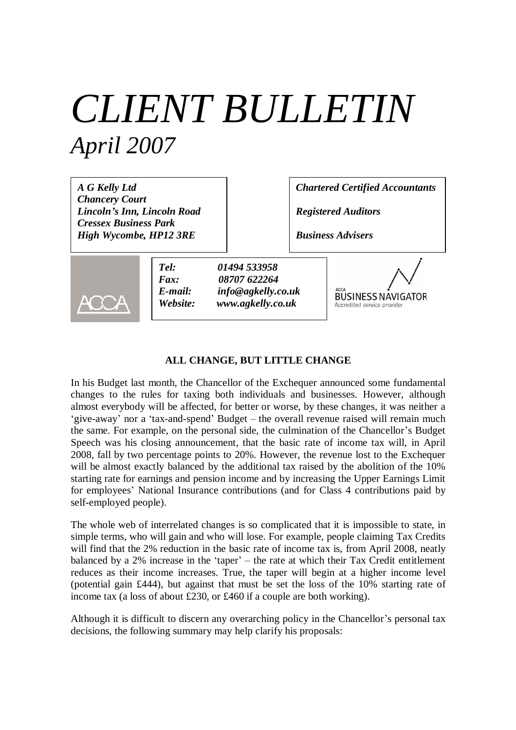# *CLIENT BULLETIN April 2007*

*A G Kelly Ltd Chancery Court Lincoln's Inn, Lincoln Road Cressex Business Park High Wycombe, HP12 3RE*

*Chartered Certified Accountants*

*Registered Auditors*

*Business Advisers*



*Tel: 01494 533958 Fax: 08707 622264 E-mail: info@agkelly.co.uk Website: www.agkelly.co.uk*

**BUSINESS NAVIGATOR** Accredited service provide

## **ALL CHANGE, BUT LITTLE CHANGE**

In his Budget last month, the Chancellor of the Exchequer announced some fundamental changes to the rules for taxing both individuals and businesses. However, although almost everybody will be affected, for better or worse, by these changes, it was neither a 'give-away' nor a 'tax-and-spend' Budget – the overall revenue raised will remain much the same. For example, on the personal side, the culmination of the Chancellor's Budget Speech was his closing announcement, that the basic rate of income tax will, in April 2008, fall by two percentage points to 20%. However, the revenue lost to the Exchequer will be almost exactly balanced by the additional tax raised by the abolition of the 10% starting rate for earnings and pension income and by increasing the Upper Earnings Limit for employees' National Insurance contributions (and for Class 4 contributions paid by self-employed people).

The whole web of interrelated changes is so complicated that it is impossible to state, in simple terms, who will gain and who will lose. For example, people claiming Tax Credits will find that the 2% reduction in the basic rate of income tax is, from April 2008, neatly balanced by a 2% increase in the 'taper'– the rate at which their Tax Credit entitlement reduces as their income increases. True, the taper will begin at a higher income level (potential gain £444), but against that must be set the loss of the 10% starting rate of income tax (a loss of about £230, or £460 if a couple are both working).

Although it is difficult to discern any overarching policy in the Chancellor's personal tax decisions, the following summary may help clarify his proposals: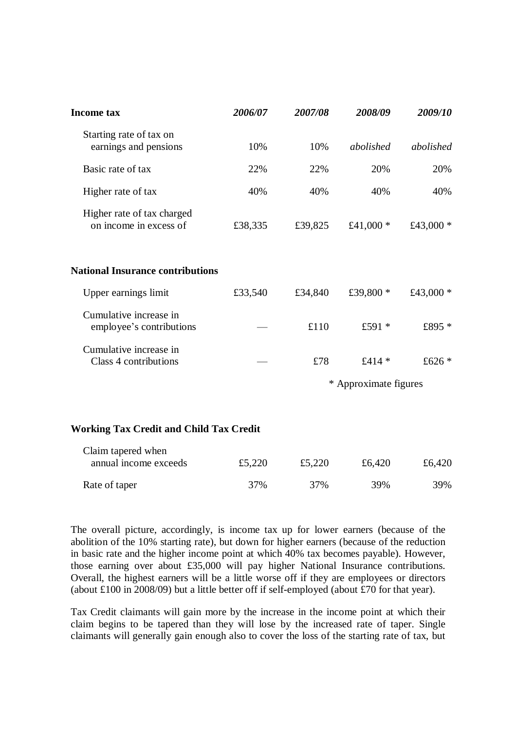| <b>Income tax</b>                                    | 2006/07 | 2007/08               | 2008/09     | 2009/10     |
|------------------------------------------------------|---------|-----------------------|-------------|-------------|
| Starting rate of tax on<br>earnings and pensions     | 10%     | 10%                   | abolished   | abolished   |
| Basic rate of tax                                    | 22%     | 22%                   | 20%         | 20%         |
| Higher rate of tax                                   | 40%     | 40%                   | 40%         | 40%         |
| Higher rate of tax charged<br>on income in excess of | £38,335 | £39,825               | £41,000 $*$ | £43,000 $*$ |
| <b>National Insurance contributions</b>              |         |                       |             |             |
| Upper earnings limit                                 | £33,540 | £34,840               | £39,800 *   | £43,000 $*$ |
| Cumulative increase in<br>employee's contributions   |         | £110                  | £591 *      | £895 *      |
| Cumulative increase in<br>Class 4 contributions      |         | £78                   | £414 $*$    | £626 $*$    |
|                                                      |         | * Approximate figures |             |             |

## **Working Tax Credit and Child Tax Credit**

| Claim tapered when    |        |        |        |        |
|-----------------------|--------|--------|--------|--------|
| annual income exceeds | £5,220 | £5,220 | £6.420 | £6,420 |
| Rate of taper         | 37%    | 37%    | 39%    | 39%    |

The overall picture, accordingly, is income tax up for lower earners (because of the abolition of the 10% starting rate), but down for higher earners (because of the reduction in basic rate and the higher income point at which 40% tax becomes payable). However, those earning over about £35,000 will pay higher National Insurance contributions. Overall, the highest earners will be a little worse off if they are employees or directors (about £100 in 2008/09) but a little better off if self-employed (about £70 for that year).

Tax Credit claimants will gain more by the increase in the income point at which their claim begins to be tapered than they will lose by the increased rate of taper. Single claimants will generally gain enough also to cover the loss of the starting rate of tax, but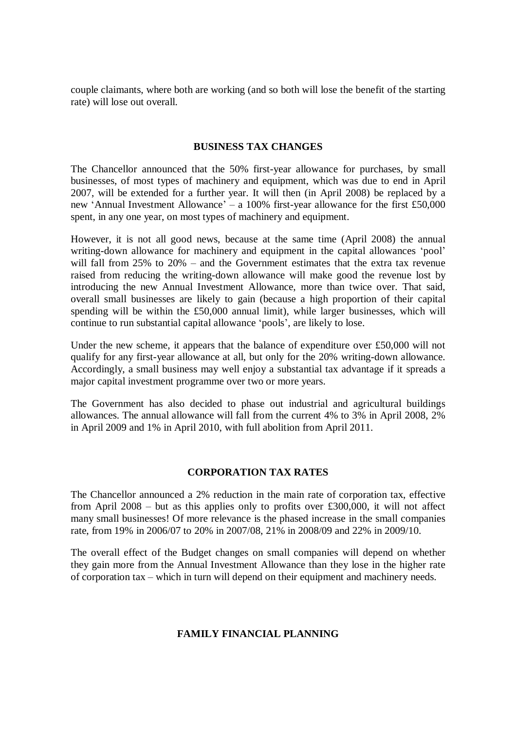couple claimants, where both are working (and so both will lose the benefit of the starting rate) will lose out overall.

## **BUSINESS TAX CHANGES**

The Chancellor announced that the 50% first-year allowance for purchases, by small businesses, of most types of machinery and equipment, which was due to end in April 2007, will be extended for a further year. It will then (in April 2008) be replaced by a new 'Annual Investment Allowance'– a 100% first-year allowance for the first £50,000 spent, in any one year, on most types of machinery and equipment.

However, it is not all good news, because at the same time (April 2008) the annual writing-down allowance for machinery and equipment in the capital allowances 'pool' will fall from 25% to 20% – and the Government estimates that the extra tax revenue raised from reducing the writing-down allowance will make good the revenue lost by introducing the new Annual Investment Allowance, more than twice over. That said, overall small businesses are likely to gain (because a high proportion of their capital spending will be within the £50,000 annual limit), while larger businesses, which will continue to run substantial capital allowance 'pools', are likely to lose.

Under the new scheme, it appears that the balance of expenditure over £50,000 will not qualify for any first-year allowance at all, but only for the 20% writing-down allowance. Accordingly, a small business may well enjoy a substantial tax advantage if it spreads a major capital investment programme over two or more years.

The Government has also decided to phase out industrial and agricultural buildings allowances. The annual allowance will fall from the current 4% to 3% in April 2008, 2% in April 2009 and 1% in April 2010, with full abolition from April 2011.

## **CORPORATION TAX RATES**

The Chancellor announced a 2% reduction in the main rate of corporation tax, effective from April  $2008 -$  but as this applies only to profits over £300,000, it will not affect many small businesses! Of more relevance is the phased increase in the small companies rate, from 19% in 2006/07 to 20% in 2007/08, 21% in 2008/09 and 22% in 2009/10.

The overall effect of the Budget changes on small companies will depend on whether they gain more from the Annual Investment Allowance than they lose in the higher rate of corporation tax – which in turn will depend on their equipment and machinery needs.

#### **FAMILY FINANCIAL PLANNING**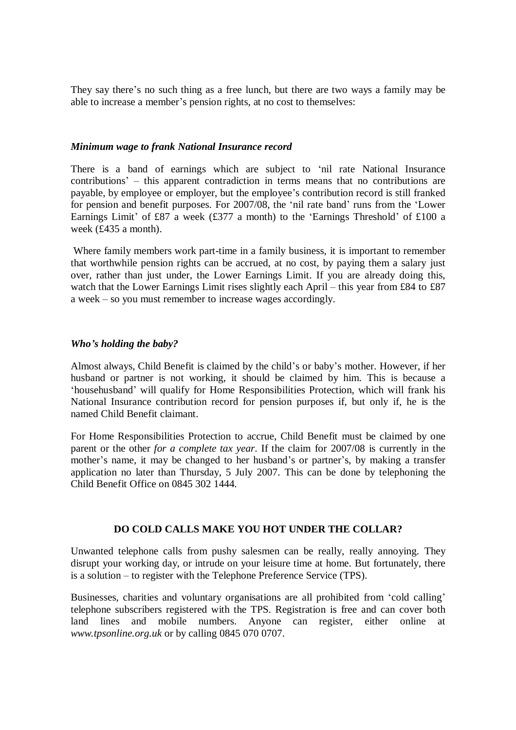They say there's no such thing as a free lunch, but there are two ways a family may be able to increase a member's pension rights, at no cost to themselves:

#### *Minimum wage to frank National Insurance record*

There is a band of earnings which are subject to 'nil rate National Insurance contributions'– this apparent contradiction in terms means that no contributions are payable, by employee or employer, but the employee's contribution record is still franked for pension and benefit purposes. For 2007/08, the 'nil rate band' runs from the 'Lower Earnings Limit' of £87 a week (£377 a month) to the 'Earnings Threshold' of £100 a week (£435 a month).

 Where family members work part-time in a family business, it is important to remember that worthwhile pension rights can be accrued, at no cost, by paying them a salary just over, rather than just under, the Lower Earnings Limit. If you are already doing this, watch that the Lower Earnings Limit rises slightly each April – this year from £84 to £87 a week – so you must remember to increase wages accordingly.

## *Who's holding the baby?*

Almost always, Child Benefit is claimed by the child's or baby's mother. However, if her husband or partner is not working, it should be claimed by him. This is because a 'househusband' will qualify for Home Responsibilities Protection, which will frank his National Insurance contribution record for pension purposes if, but only if, he is the named Child Benefit claimant.

For Home Responsibilities Protection to accrue, Child Benefit must be claimed by one parent or the other *for a complete tax year*. If the claim for 2007/08 is currently in the mother's name, it may be changed to her husband's or partner's, by making a transfer application no later than Thursday, 5 July 2007. This can be done by telephoning the Child Benefit Office on 0845 302 1444.

## **DO COLD CALLS MAKE YOU HOT UNDER THE COLLAR?**

Unwanted telephone calls from pushy salesmen can be really, really annoying. They disrupt your working day, or intrude on your leisure time at home. But fortunately, there is a solution – to register with the Telephone Preference Service (TPS).

Businesses, charities and voluntary organisations are all prohibited from 'cold calling' telephone subscribers registered with the TPS. Registration is free and can cover both land lines and mobile numbers. Anyone can register, either online at *www.tpsonline.org.uk* or by calling 0845 070 0707.